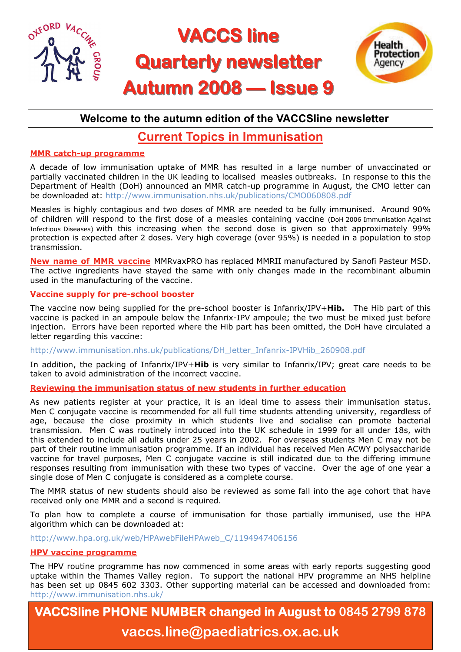

### **Welcome to the autumn edition of the VACCSline newsletter**

## **Current Topics in Immunisation**

#### **MMR catch-up programme**

A decade of low immunisation uptake of MMR has resulted in a large number of unvaccinated or partially vaccinated children in the UK leading to localised measles outbreaks. In response to this the Department of Health (DoH) announced an MMR catch-up programme in August, the CMO letter can be downloaded at: http://www.immunisation.nhs.uk/publications/CMO060808.pdf

Measles is highly contagious and two doses of MMR are needed to be fully immunised. Around 90% of children will respond to the first dose of a measles containing vaccine (DoH 2006 Immunisation Against Infectious Diseases) with this increasing when the second dose is given so that approximately 99% protection is expected after 2 doses. Very high coverage (over 95%) is needed in a population to stop transmission.

**New name of MMR vaccine** MMRvaxPRO has replaced MMRII manufactured by Sanofi Pasteur MSD. The active ingredients have stayed the same with only changes made in the recombinant albumin used in the manufacturing of the vaccine.

#### **Vaccine supply for pre-school booster**

The vaccine now being supplied for the pre-school booster is Infanrix/IPV+**Hib.** The Hib part of this vaccine is packed in an ampoule below the Infanrix-IPV ampoule; the two must be mixed just before injection. Errors have been reported where the Hib part has been omitted, the DoH have circulated a letter regarding this vaccine:

http://www.immunisation.nhs.uk/publications/DH\_letter\_Infanrix-IPVHib\_260908.pdf

In addition, the packing of Infanrix/IPV+**Hib** is very similar to Infanrix/IPV; great care needs to be taken to avoid administration of the incorrect vaccine.

**Reviewing the immunisation status of new students in further education**

As new patients register at your practice, it is an ideal time to assess their immunisation status. Men C conjugate vaccine is recommended for all full time students attending university, regardless of age, because the close proximity in which students live and socialise can promote bacterial transmission. Men C was routinely introduced into the UK schedule in 1999 for all under 18s, with this extended to include all adults under 25 years in 2002. For overseas students Men C may not be part of their routine immunisation programme. If an individual has received Men ACWY polysaccharide vaccine for travel purposes, Men C conjugate vaccine is still indicated due to the differing immune responses resulting from immunisation with these two types of vaccine. Over the age of one year a single dose of Men C conjugate is considered as a complete course.

The MMR status of new students should also be reviewed as some fall into the age cohort that have received only one MMR and a second is required.

To plan how to complete a course of immunisation for those partially immunised, use the HPA algorithm which can be downloaded at:

http://www.hpa.org.uk/web/HPAwebFileHPAweb\_C/1194947406156

#### **HPV vaccine programme**

The HPV routine programme has now commenced in some areas with early reports suggesting good uptake within the Thames Valley region. To support the national HPV programme an NHS helpline has been set up 0845 602 3303. Other supporting material can be accessed and downloaded from: http://www.immunisation.nhs.uk/

**VACCSline PHONE NUMBER changed in August to 0845 2799 878 vaccs.line@paediatrics.ox.ac.uk**